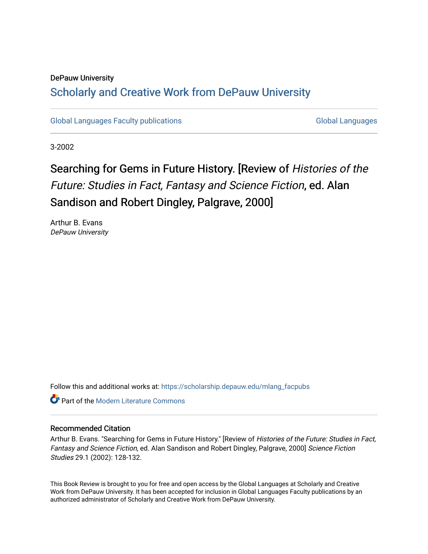## DePauw University Scholarly and [Creative Work from DePauw Univ](https://scholarship.depauw.edu/)ersity

[Global Languages Faculty publications](https://scholarship.depauw.edu/mlang_facpubs) [Global Languages](https://scholarship.depauw.edu/modernlanguages) Global Languages

3-2002

## Searching for Gems in Future History. [Review of Histories of the Future: Studies in Fact, Fantasy and Science Fiction, ed. Alan Sandison and Robert Dingley, Palgrave, 2000]

Arthur B. Evans DePauw University

Follow this and additional works at: [https://scholarship.depauw.edu/mlang\\_facpubs](https://scholarship.depauw.edu/mlang_facpubs?utm_source=scholarship.depauw.edu%2Fmlang_facpubs%2F30&utm_medium=PDF&utm_campaign=PDFCoverPages)

**C** Part of the Modern Literature Commons

## Recommended Citation

Arthur B. Evans. "Searching for Gems in Future History." [Review of Histories of the Future: Studies in Fact, Fantasy and Science Fiction, ed. Alan Sandison and Robert Dingley, Palgrave, 2000] Science Fiction Studies 29.1 (2002): 128-132.

This Book Review is brought to you for free and open access by the Global Languages at Scholarly and Creative Work from DePauw University. It has been accepted for inclusion in Global Languages Faculty publications by an authorized administrator of Scholarly and Creative Work from DePauw University.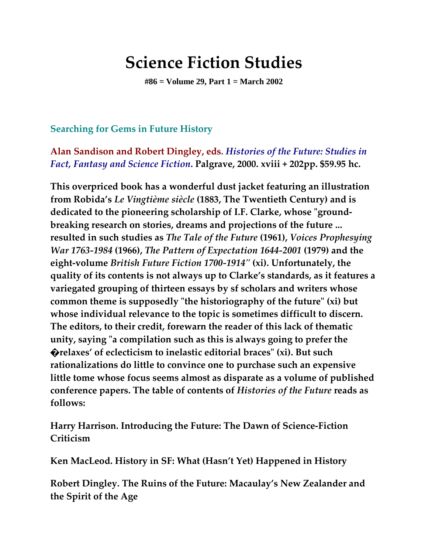## **Science Fiction Studies**

**#86 = Volume 29, Part 1 = March 2002**

**Searching for Gems in Future History**

**Alan Sandison and Robert Dingley, eds.** *Histories of the Future: Studies in Fact, Fantasy and Science Fiction***. Palgrave, 2000. xviii + 202pp. \$59.95 hc.**

**This overpriced book has a wonderful dust jacket featuring an illustration from Robida's** *Le Vingtième siècle* **(1883, The Twentieth Century) and is dedicated to the pioneering scholarship of I.F. Clarke, whose "groundbreaking research on stories, dreams and projections of the future ... resulted in such studies as** *The Tale of the Future* **(1961),** *Voices Prophesying War 1763-1984* **(1966),** *The Pattern of Expectation 1644-2001* **(1979) and the eight-volume** *British Future Fiction 1700-1914"* **(xi). Unfortunately, the quality of its contents is not always up to Clarke's standards, as it features a variegated grouping of thirteen essays by sf scholars and writers whose common theme is supposedly "the historiography of the future" (xi) but whose individual relevance to the topic is sometimes difficult to discern. The editors, to their credit, forewarn the reader of this lack of thematic unity, saying "a compilation such as this is always going to prefer the �relaxes' of eclecticism to inelastic editorial braces" (xi). But such rationalizations do little to convince one to purchase such an expensive little tome whose focus seems almost as disparate as a volume of published conference papers. The table of contents of** *Histories of the Future* **reads as follows:**

**Harry Harrison. Introducing the Future: The Dawn of Science-Fiction Criticism**

**Ken MacLeod. History in SF: What (Hasn't Yet) Happened in History**

**Robert Dingley. The Ruins of the Future: Macaulay's New Zealander and the Spirit of the Age**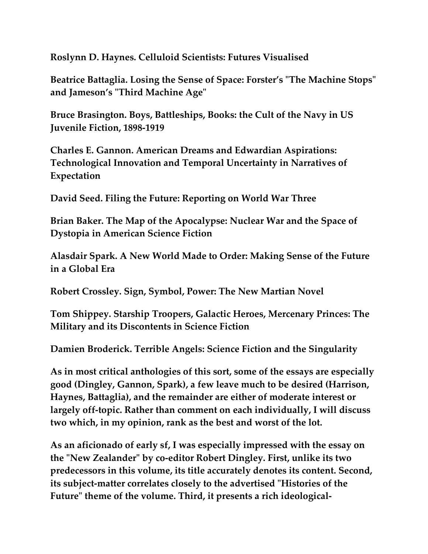**Roslynn D. Haynes. Celluloid Scientists: Futures Visualised**

**Beatrice Battaglia. Losing the Sense of Space: Forster's "The Machine Stops" and Jameson's "Third Machine Age"**

**Bruce Brasington. Boys, Battleships, Books: the Cult of the Navy in US Juvenile Fiction, 1898-1919**

**Charles E. Gannon. American Dreams and Edwardian Aspirations: Technological Innovation and Temporal Uncertainty in Narratives of Expectation**

**David Seed. Filing the Future: Reporting on World War Three**

**Brian Baker. The Map of the Apocalypse: Nuclear War and the Space of Dystopia in American Science Fiction**

**Alasdair Spark. A New World Made to Order: Making Sense of the Future in a Global Era**

**Robert Crossley. Sign, Symbol, Power: The New Martian Novel**

**Tom Shippey. Starship Troopers, Galactic Heroes, Mercenary Princes: The Military and its Discontents in Science Fiction**

**Damien Broderick. Terrible Angels: Science Fiction and the Singularity**

**As in most critical anthologies of this sort, some of the essays are especially good (Dingley, Gannon, Spark), a few leave much to be desired (Harrison, Haynes, Battaglia), and the remainder are either of moderate interest or largely off-topic. Rather than comment on each individually, I will discuss two which, in my opinion, rank as the best and worst of the lot.**

**As an aficionado of early sf, I was especially impressed with the essay on the "New Zealander" by co-editor Robert Dingley. First, unlike its two predecessors in this volume, its title accurately denotes its content. Second, its subject-matter correlates closely to the advertised "Histories of the Future" theme of the volume. Third, it presents a rich ideological-**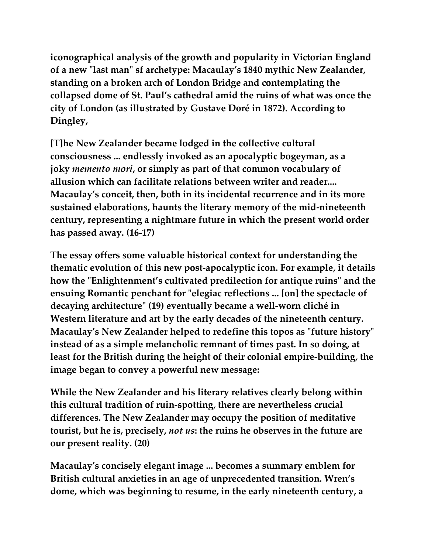**iconographical analysis of the growth and popularity in Victorian England of a new "last man" sf archetype: Macaulay's 1840 mythic New Zealander, standing on a broken arch of London Bridge and contemplating the collapsed dome of St. Paul's cathedral amid the ruins of what was once the city of London (as illustrated by Gustave Doré in 1872). According to Dingley,**

**[T]he New Zealander became lodged in the collective cultural consciousness ... endlessly invoked as an apocalyptic bogeyman, as a joky** *memento mori***, or simply as part of that common vocabulary of allusion which can facilitate relations between writer and reader.... Macaulay's conceit, then, both in its incidental recurrence and in its more sustained elaborations, haunts the literary memory of the mid-nineteenth century, representing a nightmare future in which the present world order has passed away. (16-17)**

**The essay offers some valuable historical context for understanding the thematic evolution of this new post-apocalyptic icon. For example, it details how the "Enlightenment's cultivated predilection for antique ruins" and the ensuing Romantic penchant for "elegiac reflections ... [on] the spectacle of decaying architecture" (19) eventually became a well-worn cliché in Western literature and art by the early decades of the nineteenth century. Macaulay's New Zealander helped to redefine this topos as "future history" instead of as a simple melancholic remnant of times past. In so doing, at least for the British during the height of their colonial empire-building, the image began to convey a powerful new message:**

**While the New Zealander and his literary relatives clearly belong within this cultural tradition of ruin-spotting, there are nevertheless crucial differences. The New Zealander may occupy the position of meditative tourist, but he is, precisely,** *not us***: the ruins he observes in the future are our present reality. (20)**

**Macaulay's concisely elegant image ... becomes a summary emblem for British cultural anxieties in an age of unprecedented transition. Wren's dome, which was beginning to resume, in the early nineteenth century, a**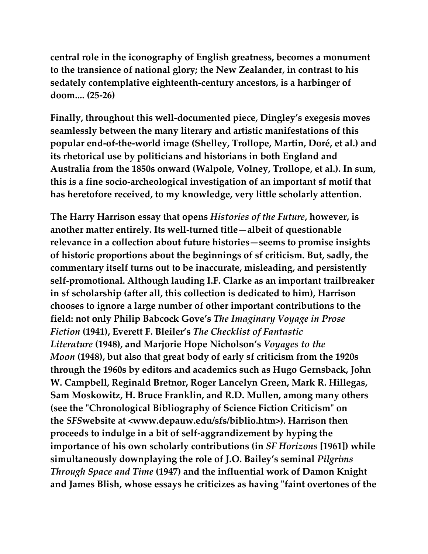**central role in the iconography of English greatness, becomes a monument to the transience of national glory; the New Zealander, in contrast to his sedately contemplative eighteenth-century ancestors, is a harbinger of doom.... (25-26)**

**Finally, throughout this well-documented piece, Dingley's exegesis moves seamlessly between the many literary and artistic manifestations of this popular end-of-the-world image (Shelley, Trollope, Martin, Doré, et al.) and its rhetorical use by politicians and historians in both England and Australia from the 1850s onward (Walpole, Volney, Trollope, et al.). In sum, this is a fine socio-archeological investigation of an important sf motif that has heretofore received, to my knowledge, very little scholarly attention.**

**The Harry Harrison essay that opens** *Histories of the Future***, however, is another matter entirely. Its well-turned title—albeit of questionable relevance in a collection about future histories—seems to promise insights of historic proportions about the beginnings of sf criticism. But, sadly, the commentary itself turns out to be inaccurate, misleading, and persistently self-promotional. Although lauding I.F. Clarke as an important trailbreaker in sf scholarship (after all, this collection is dedicated to him), Harrison chooses to ignore a large number of other important contributions to the field: not only Philip Babcock Gove's** *The Imaginary Voyage in Prose Fiction* **(1941), Everett F. Bleiler's** *The Checklist of Fantastic Literature* **(1948), and Marjorie Hope Nicholson's** *Voyages to the Moon* **(1948), but also that great body of early sf criticism from the 1920s through the 1960s by editors and academics such as Hugo Gernsback, John W. Campbell, Reginald Bretnor, Roger Lancelyn Green, Mark R. Hillegas, Sam Moskowitz, H. Bruce Franklin, and R.D. Mullen, among many others (see the "Chronological Bibliography of Science Fiction Criticism" on the** *SFS***website at <www.depauw.edu/sfs/biblio.htm>). Harrison then proceeds to indulge in a bit of self-aggrandizement by hyping the importance of his own scholarly contributions (in** *SF Horizons* **[1961]) while simultaneously downplaying the role of J.O. Bailey's seminal** *Pilgrims Through Space and Time* **(1947) and the influential work of Damon Knight and James Blish, whose essays he criticizes as having "faint overtones of the**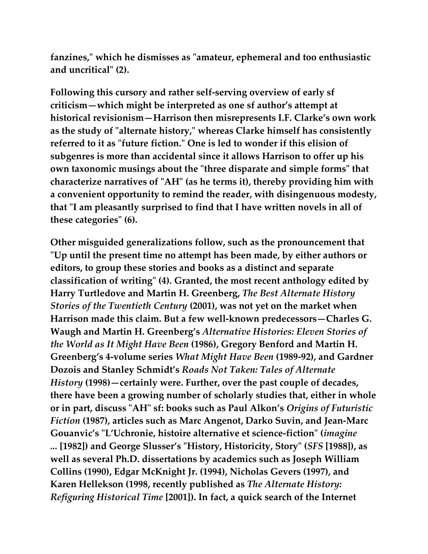**fanzines," which he dismisses as "amateur, ephemeral and too enthusiastic and uncritical" (2).**

**Following this cursory and rather self-serving overview of early sf criticism—which might be interpreted as one sf author's attempt at historical revisionism—Harrison then misrepresents I.F. Clarke's own work as the study of "alternate history," whereas Clarke himself has consistently referred to it as "future fiction." One is led to wonder if this elision of subgenres is more than accidental since it allows Harrison to offer up his own taxonomic musings about the "three disparate and simple forms" that characterize narratives of "AH" (as he terms it), thereby providing him with a convenient opportunity to remind the reader, with disingenuous modesty, that "I am pleasantly surprised to find that I have written novels in all of these categories" (6).**

**Other misguided generalizations follow, such as the pronouncement that "Up until the present time no attempt has been made, by either authors or editors, to group these stories and books as a distinct and separate classification of writing" (4). Granted, the most recent anthology edited by Harry Turtledove and Martin H. Greenberg,** *The Best Alternate History Stories of the Twentieth Century* **(2001), was not yet on the market when Harrison made this claim. But a few well-known predecessors—Charles G. Waugh and Martin H. Greenberg's** *Alternative Histories: Eleven Stories of the World as It Might Have Been* **(1986), Gregory Benford and Martin H. Greenberg's 4-volume series** *What Might Have Been* **(1989-92), and Gardner Dozois and Stanley Schmidt's** *Roads Not Taken: Tales of Alternate History* **(1998)—certainly were. Further, over the past couple of decades, there have been a growing number of scholarly studies that, either in whole or in part, discuss "AH" sf: books such as Paul Alkon's** *Origins of Futuristic Fiction* **(1987), articles such as Marc Angenot, Darko Suvin, and Jean-Marc Gouanvic's "L'Uchronie, histoire alternative et science-fiction" (***imagine ...* **[1982]) and George Slusser's "History, Historicity, Story" (***SFS* **[1988]), as well as several Ph.D. dissertations by academics such as Joseph William Collins (1990), Edgar McKnight Jr. (1994), Nicholas Gevers (1997), and Karen Hellekson (1998, recently published as** *The Alternate History: Refiguring Historical Time* **[2001]). In fact, a quick search of the Internet**